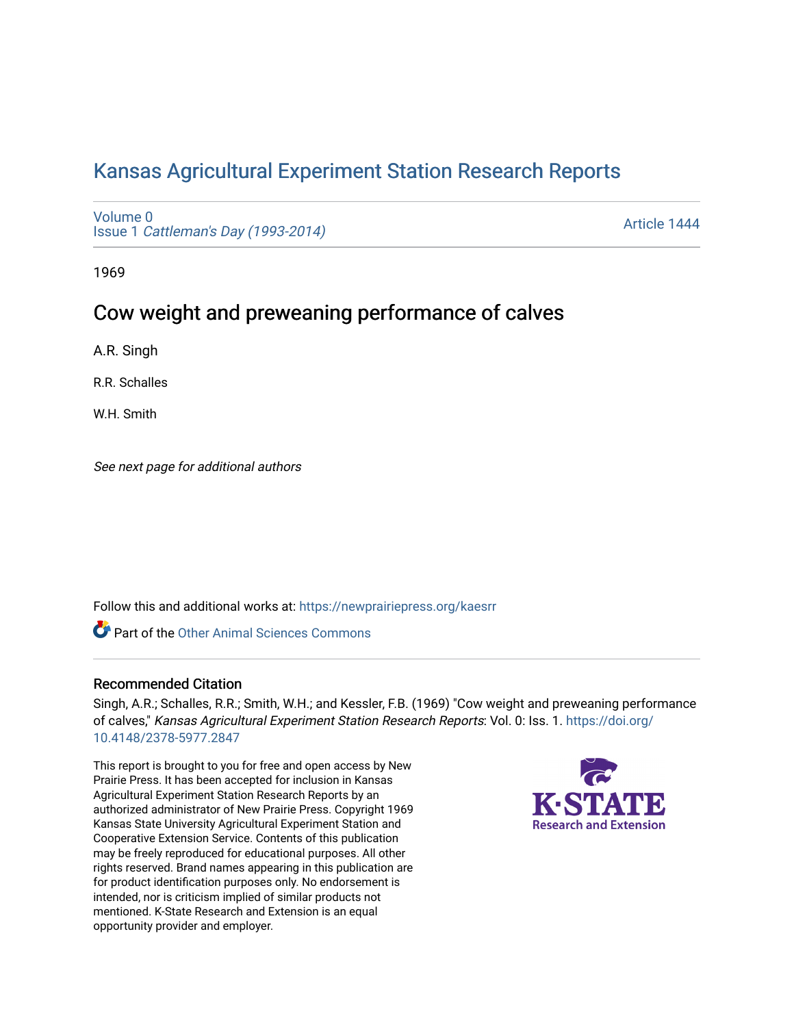# [Kansas Agricultural Experiment Station Research Reports](https://newprairiepress.org/kaesrr)

[Volume 0](https://newprairiepress.org/kaesrr/vol0) Issue 1 [Cattleman's Day \(1993-2014\)](https://newprairiepress.org/kaesrr/vol0/iss1) 

[Article 1444](https://newprairiepress.org/kaesrr/vol0/iss1/1444) 

1969

# Cow weight and preweaning performance of calves

A.R. Singh

R.R. Schalles

W.H. Smith

See next page for additional authors

Follow this and additional works at: [https://newprairiepress.org/kaesrr](https://newprairiepress.org/kaesrr?utm_source=newprairiepress.org%2Fkaesrr%2Fvol0%2Fiss1%2F1444&utm_medium=PDF&utm_campaign=PDFCoverPages) 

**C** Part of the [Other Animal Sciences Commons](http://network.bepress.com/hgg/discipline/82?utm_source=newprairiepress.org%2Fkaesrr%2Fvol0%2Fiss1%2F1444&utm_medium=PDF&utm_campaign=PDFCoverPages)

#### Recommended Citation

Singh, A.R.; Schalles, R.R.; Smith, W.H.; and Kessler, F.B. (1969) "Cow weight and preweaning performance of calves," Kansas Agricultural Experiment Station Research Reports: Vol. 0: Iss. 1. [https://doi.org/](https://doi.org/10.4148/2378-5977.2847) [10.4148/2378-5977.2847](https://doi.org/10.4148/2378-5977.2847)

This report is brought to you for free and open access by New Prairie Press. It has been accepted for inclusion in Kansas Agricultural Experiment Station Research Reports by an authorized administrator of New Prairie Press. Copyright 1969 Kansas State University Agricultural Experiment Station and Cooperative Extension Service. Contents of this publication may be freely reproduced for educational purposes. All other rights reserved. Brand names appearing in this publication are for product identification purposes only. No endorsement is intended, nor is criticism implied of similar products not mentioned. K-State Research and Extension is an equal opportunity provider and employer.

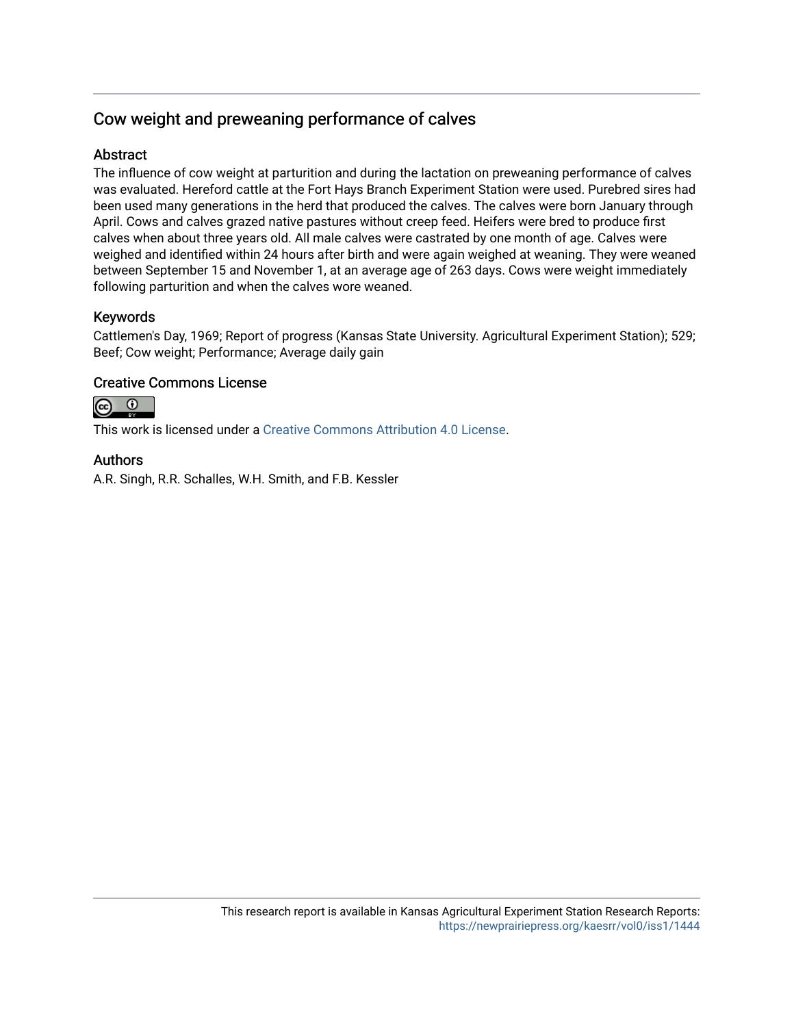### Cow weight and preweaning performance of calves

#### **Abstract**

The influence of cow weight at parturition and during the lactation on preweaning performance of calves was evaluated. Hereford cattle at the Fort Hays Branch Experiment Station were used. Purebred sires had been used many generations in the herd that produced the calves. The calves were born January through April. Cows and calves grazed native pastures without creep feed. Heifers were bred to produce first calves when about three years old. All male calves were castrated by one month of age. Calves were weighed and identified within 24 hours after birth and were again weighed at weaning. They were weaned between September 15 and November 1, at an average age of 263 days. Cows were weight immediately following parturition and when the calves wore weaned.

### Keywords

Cattlemen's Day, 1969; Report of progress (Kansas State University. Agricultural Experiment Station); 529; Beef; Cow weight; Performance; Average daily gain

#### Creative Commons License

 $\odot$  $\odot$ 

This work is licensed under a [Creative Commons Attribution 4.0 License](https://creativecommons.org/licenses/by/4.0/).

#### Authors

A.R. Singh, R.R. Schalles, W.H. Smith, and F.B. Kessler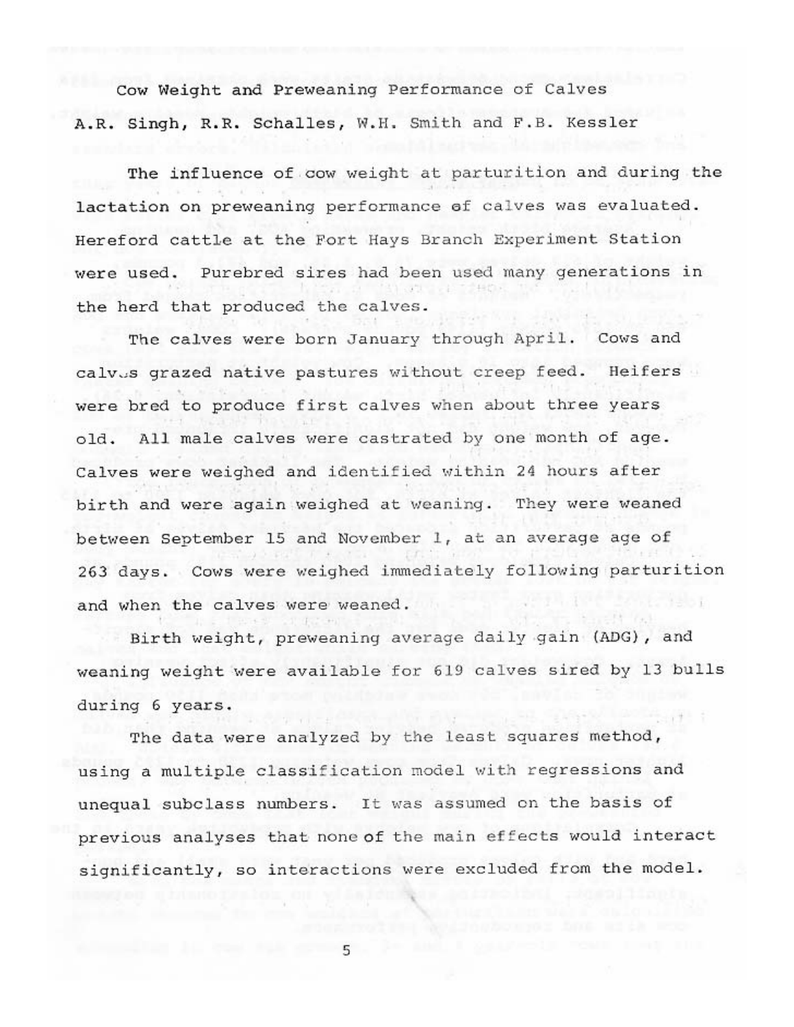Cow Weight and Preweaning Performance of Calves A.R. Singh, R.R. Schalles, W.H. Smith and F.B. Kessler

The influence of cow weight at parturition and during the lactation on preweaning performance of calves was evaluated. Hereford cattle at the Fort Hays Branch Experiment Station were used. Purebred sires had been used many generations in the herd that produced the calves.

The calves were born January through April. Cows and calvus grazed native pastures without creep feed. Heifers were bred to produce first calves when about three years All male calves were castrated by one month of age. old. Calves were weighed and identified within 24 hours after birth and were again weighed at weaning. They were weaned between September 15 and November  $1<sub>t</sub>$  at an average age of 263 days. Cows were weighed immediately following parturition and when the calves were weaned.

Birth weight, preweaning average daily gain (ADG), and weaning weight were available for 619 calves sired by 13 bulls during 6 years.

The data were analyzed by the least squares method, using a multiple classification model with regressions and unequal subclass numbers. It was assumed on the basis of previous analyses that none of the main effects would interact significantly, so interactions were excluded from the model.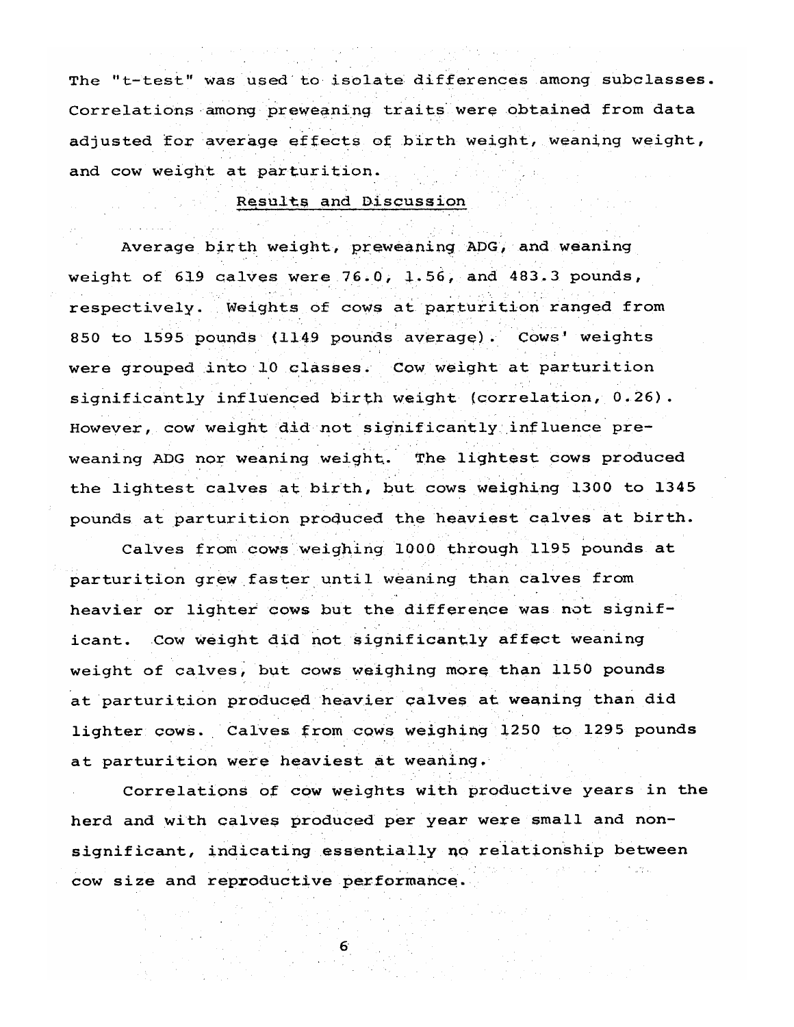The "t-test" was used to isolate differences among subclasses. Correlations among preweaning traits were obtained from data adjusted for average effects of birth weight, weaning weight, and cow weight at parturition.

#### Results and Discussion

Average birth weight, preweaning ADG, and weaning weight of 619 calves were 76.0, 1.56, and 483.3 pounds, respectively. Weights of cows at parturition ranged from 850 to 1595 pounds (1149 pounds average). Cows' weights were grouped into 10 classes. Cow weight at parturition significantly influenced birth weight (correlation, 0.26). However, cow weight did not significantly influence preweaning ADG nor weaning weight. The lightest cows produced the lightest calves at birth, but cows weighing 1300 to 1345 pounds at parturition produced the heaviest calves at birth.

Calves from cows weighing 1000 through 1195 pounds at parturition grew faster until weaning than calves from heavier or lighter cows but the difference was not significant. Cow weight did not significantly affect weaning weight of calves, but cows weighing more than 1150 pounds at parturition produced heavier calves at weaning than did lighter cows. Calves from cows weighing 1250 to 1295 pounds at parturition were heaviest at weaning.

Correlations of cow weights with productive years in the herd and with calves produced per year were small and nonsignificant, indicating essentially no relationship between cow size and reproductive performance.

6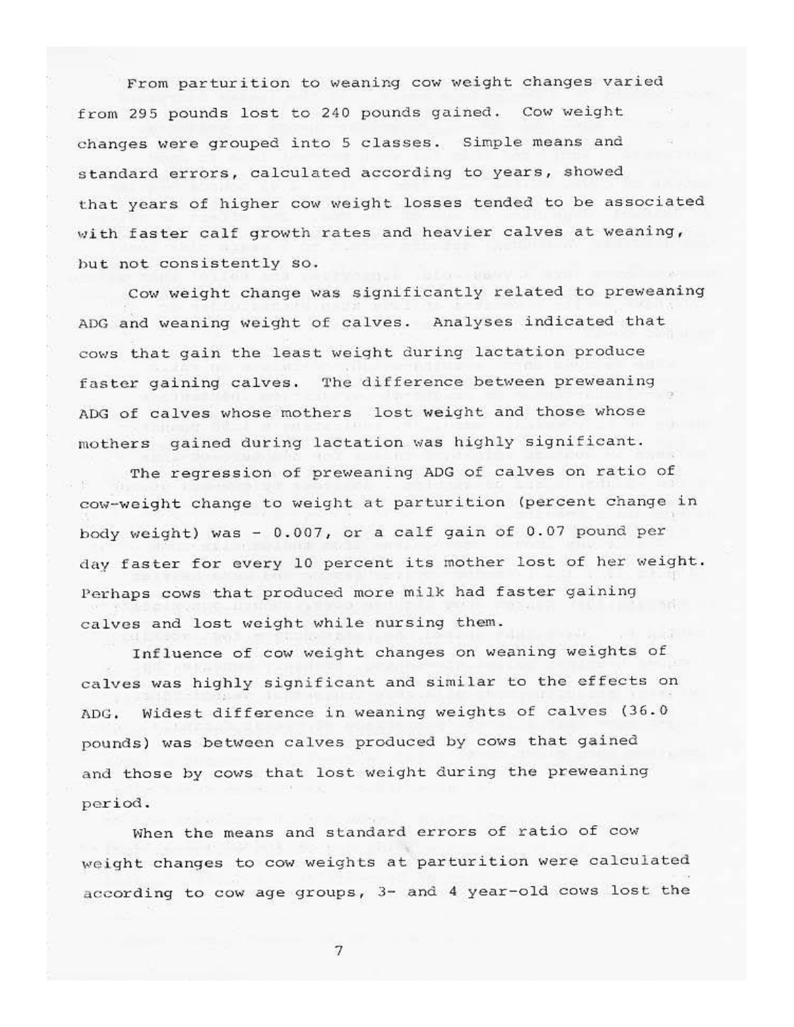From parturition to weaning cow weight changes varied from 295 pounds lost to 240 pounds gained. Cow weight changes were grouped into 5 classes. Simple means and standard errors, calculated according to years, showed that years of higher cow weight losses tended to be associated with faster calf growth rates and heavier calves at weaning, but not consistently so.

Cow weight change was significantly related to preweaning ADG and weaning weight of calves. Analyses indicated that cows that gain the least weight during lactation produce faster gaining calves. The difference between preweaning ADG of calves whose mothers lost weight and those whose mothers gained during lactation was highly significant.

The regression of preweaning ADG of calves on ratio of cow-weight change to weight at parturition (percent change in body weight) was - 0.007, or a calf gain of 0.07 pound per day faster for every 10 percent its mother lost of her weight. Perhaps cows that produced more milk had faster gaining calves and lost weight while nursing them.

Influence of cow weight changes on weaning weights of calves was highly significant and similar to the effects on ADG. Widest difference in weaning weights of calves (36.0 pounds) was between calves produced by cows that gained and those by cows that lost weight during the preweaning period.

When the means and standard errors of ratio of cow weight changes to cow weights at parturition were calculated according to cow age groups, 3- and 4 year-old cows lost the